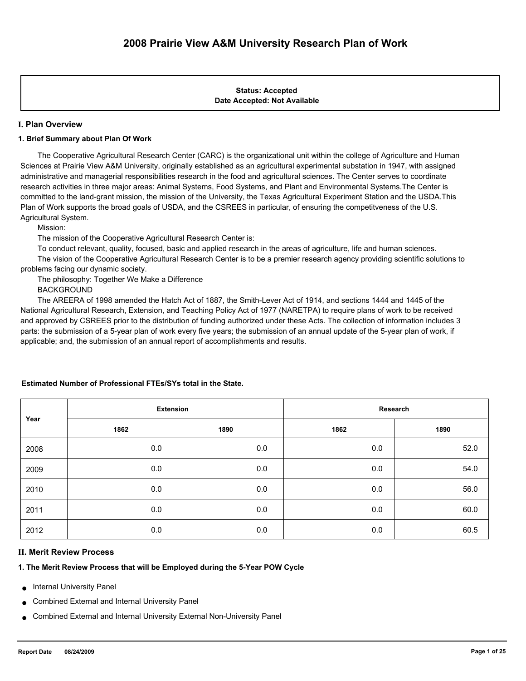## **Date Accepted: Not Available Status: Accepted**

## **I. Plan Overview**

## **1. Brief Summary about Plan Of Work**

 The Cooperative Agricultural Research Center (CARC) is the organizational unit within the college of Agriculture and Human Sciences at Prairie View A&M University, originally established as an agricultural experimental substation in 1947, with assigned administrative and managerial responsibilities research in the food and agricultural sciences. The Center serves to coordinate research activities in three major areas: Animal Systems, Food Systems, and Plant and Environmental Systems.The Center is committed to the land-grant mission, the mission of the University, the Texas Agricultural Experiment Station and the USDA.This Plan of Work supports the broad goals of USDA, and the CSREES in particular, of ensuring the competitveness of the U.S. Agricultural System.

Mission:

The mission of the Cooperative Agricultural Research Center is:

To conduct relevant, quality, focused, basic and applied research in the areas of agriculture, life and human sciences.

 The vision of the Cooperative Agricultural Research Center is to be a premier research agency providing scientific solutions to problems facing our dynamic society.

The philosophy: Together We Make a Difference

BACKGROUND

 The AREERA of 1998 amended the Hatch Act of 1887, the Smith-Lever Act of 1914, and sections 1444 and 1445 of the National Agricultural Research, Extension, and Teaching Policy Act of 1977 (NARETPA) to require plans of work to be received and approved by CSREES prior to the distribution of funding authorized under these Acts. The collection of information includes 3 parts: the submission of a 5-year plan of work every five years; the submission of an annual update of the 5-year plan of work, if applicable; and, the submission of an annual report of accomplishments and results.

| Year | <b>Extension</b> |      | Research |      |  |
|------|------------------|------|----------|------|--|
|      | 1862             | 1890 | 1862     | 1890 |  |
| 2008 | 0.0              | 0.0  | 0.0      | 52.0 |  |
| 2009 | 0.0              | 0.0  | 0.0      | 54.0 |  |
| 2010 | 0.0              | 0.0  | 0.0      | 56.0 |  |
| 2011 | 0.0              | 0.0  | 0.0      | 60.0 |  |
| 2012 | 0.0              | 0.0  | 0.0      | 60.5 |  |

## **Estimated Number of Professional FTEs/SYs total in the State.**

# **II. Merit Review Process**

# **1. The Merit Review Process that will be Employed during the 5-Year POW Cycle**

- **Internal University Panel**
- Combined External and Internal University Panel
- Combined External and Internal University External Non-University Panel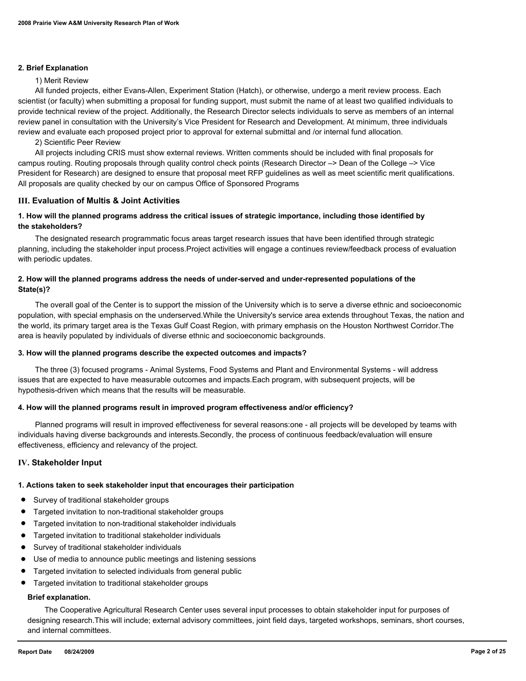#### **2. Brief Explanation**

#### 1) Merit Review

 All funded projects, either Evans-Allen, Experiment Station (Hatch), or otherwise, undergo a merit review process. Each scientist (or faculty) when submitting a proposal for funding support, must submit the name of at least two qualified individuals to provide technical review of the project. Additionally, the Research Director selects individuals to serve as members of an internal review panel in consultation with the University's Vice President for Research and Development. At minimum, three individuals review and evaluate each proposed project prior to approval for external submittal and /or internal fund allocation.

2) Scientific Peer Review

 All projects including CRIS must show external reviews. Written comments should be included with final proposals for campus routing. Routing proposals through quality control check points (Research Director –> Dean of the College –> Vice President for Research) are designed to ensure that proposal meet RFP guidelines as well as meet scientific merit qualifications. All proposals are quality checked by our on campus Office of Sponsored Programs

#### **III. Evaluation of Multis & Joint Activities**

## **1. How will the planned programs address the critical issues of strategic importance, including those identified by the stakeholders?**

 The designated research programmatic focus areas target research issues that have been identified through strategic planning, including the stakeholder input process.Project activities will engage a continues review/feedback process of evaluation with periodic updates.

## **2. How will the planned programs address the needs of under-served and under-represented populations of the State(s)?**

 The overall goal of the Center is to support the mission of the University which is to serve a diverse ethnic and socioeconomic population, with special emphasis on the underserved.While the University's service area extends throughout Texas, the nation and the world, its primary target area is the Texas Gulf Coast Region, with primary emphasis on the Houston Northwest Corridor.The area is heavily populated by individuals of diverse ethnic and socioeconomic backgrounds.

#### **3. How will the planned programs describe the expected outcomes and impacts?**

 The three (3) focused programs - Animal Systems, Food Systems and Plant and Environmental Systems - will address issues that are expected to have measurable outcomes and impacts.Each program, with subsequent projects, will be hypothesis-driven which means that the results will be measurable.

#### **4. How will the planned programs result in improved program effectiveness and/or efficiency?**

 Planned programs will result in improved effectiveness for several reasons:one - all projects will be developed by teams with individuals having diverse backgrounds and interests.Secondly, the process of continuous feedback/evaluation will ensure effectiveness, efficiency and relevancy of the project.

#### **IV. Stakeholder Input**

# **1. Actions taken to seek stakeholder input that encourages their participation**

- Survey of traditional stakeholder groups
- Targeted invitation to non-traditional stakeholder groups
- Targeted invitation to non-traditional stakeholder individuals
- Targeted invitation to traditional stakeholder individuals
- Survey of traditional stakeholder individuals
- Use of media to announce public meetings and listening sessions
- Targeted invitation to selected individuals from general public
- Targeted invitation to traditional stakeholder groups

## **Brief explanation.**

 The Cooperative Agricultural Research Center uses several input processes to obtain stakeholder input for purposes of designing research.This will include; external advisory committees, joint field days, targeted workshops, seminars, short courses, and internal committees.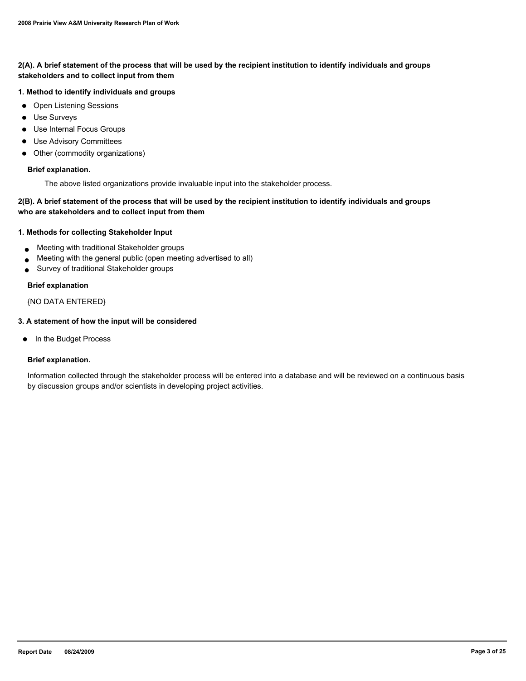## **2(A). A brief statement of the process that will be used by the recipient institution to identify individuals and groups stakeholders and to collect input from them**

## **1. Method to identify individuals and groups**

- Open Listening Sessions
- Use Surveys
- Use Internal Focus Groups
- Use Advisory Committees
- Other (commodity organizations)

#### **Brief explanation.**

The above listed organizations provide invaluable input into the stakeholder process.

## **2(B). A brief statement of the process that will be used by the recipient institution to identify individuals and groups who are stakeholders and to collect input from them**

## **1. Methods for collecting Stakeholder Input**

- Meeting with traditional Stakeholder groups
- Meeting with the general public (open meeting advertised to all)
- Survey of traditional Stakeholder groups

#### **Brief explanation**

## {NO DATA ENTERED}

## **3. A statement of how the input will be considered**

● In the Budget Process

## **Brief explanation.**

Information collected through the stakeholder process will be entered into a database and will be reviewed on a continuous basis by discussion groups and/or scientists in developing project activities.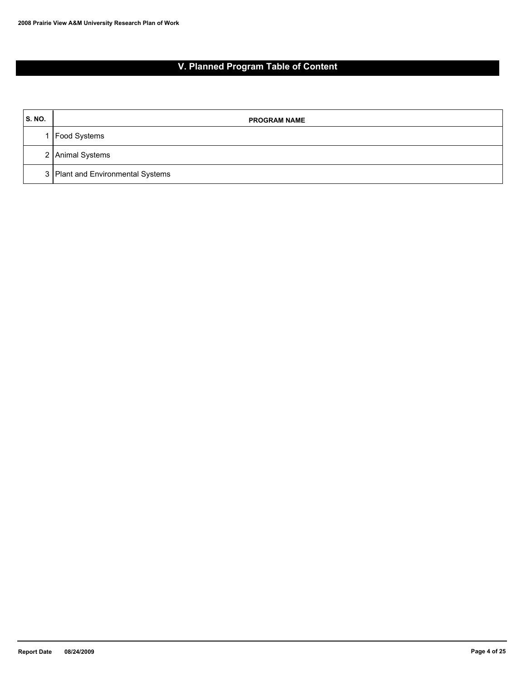# **V. Planned Program Table of Content**

| <b>S. NO.</b> | <b>PROGRAM NAME</b>               |
|---------------|-----------------------------------|
|               | Food Systems                      |
|               | 2 Animal Systems                  |
|               | 3 Plant and Environmental Systems |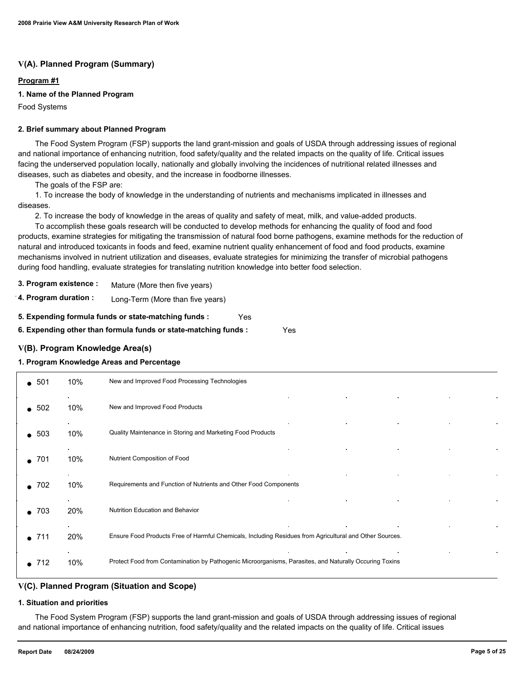# **V(A). Planned Program (Summary)**

## **Program #1**

## **1. Name of the Planned Program**

Food Systems

#### **2. Brief summary about Planned Program**

 The Food System Program (FSP) supports the land grant-mission and goals of USDA through addressing issues of regional and national importance of enhancing nutrition, food safety/quality and the related impacts on the quality of life. Critical issues facing the underserved population locally, nationally and globally involving the incidences of nutritional related illnesses and diseases, such as diabetes and obesity, and the increase in foodborne illnesses.

The goals of the FSP are:

 1. To increase the body of knowledge in the understanding of nutrients and mechanisms implicated in illnesses and diseases.

2. To increase the body of knowledge in the areas of quality and safety of meat, milk, and value-added products.

 To accomplish these goals research will be conducted to develop methods for enhancing the quality of food and food products, examine strategies for mitigating the transmission of natural food borne pathogens, examine methods for the reduction of natural and introduced toxicants in foods and feed, examine nutrient quality enhancement of food and food products, examine mechanisms involved in nutrient utilization and diseases, evaluate strategies for minimizing the transfer of microbial pathogens during food handling, evaluate strategies for translating nutrition knowledge into better food selection.

- **3. Program existence :** Mature (More then five years)
- **4. Program duration :** Long-Term (More than five years)

**5. Expending formula funds or state-matching funds :** Yes

**6. Expending other than formula funds or state-matching funds :** Yes

## **V(B). Program Knowledge Area(s)**

#### **1. Program Knowledge Areas and Percentage**

| -501<br>$\bullet$ | 10% | New and Improved Food Processing Technologies                                                           |
|-------------------|-----|---------------------------------------------------------------------------------------------------------|
| $\bullet$ 502     | 10% | New and Improved Food Products                                                                          |
| $\bullet$ 503     | 10% | Quality Maintenance in Storing and Marketing Food Products                                              |
| 701               | 10% | Nutrient Composition of Food                                                                            |
| 702               | 10% | Requirements and Function of Nutrients and Other Food Components                                        |
| $\bullet$ 703     | 20% | Nutrition Education and Behavior                                                                        |
| -711              | 20% | Ensure Food Products Free of Harmful Chemicals, Including Residues from Agricultural and Other Sources. |
| 712               | 10% | Protect Food from Contamination by Pathogenic Microorganisms, Parasites, and Naturally Occuring Toxins  |

## **V(C). Planned Program (Situation and Scope)**

#### **1. Situation and priorities**

 The Food System Program (FSP) supports the land grant-mission and goals of USDA through addressing issues of regional and national importance of enhancing nutrition, food safety/quality and the related impacts on the quality of life. Critical issues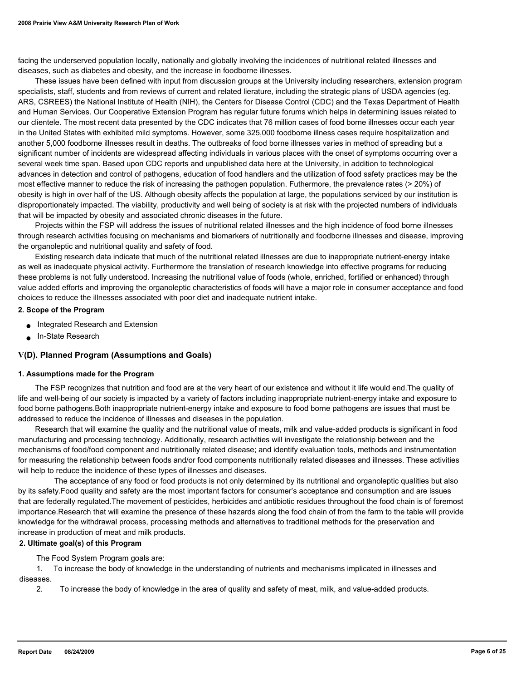facing the underserved population locally, nationally and globally involving the incidences of nutritional related illnesses and diseases, such as diabetes and obesity, and the increase in foodborne illnesses.

 These issues have been defined with input from discussion groups at the University including researchers, extension program specialists, staff, students and from reviews of current and related lierature, including the strategic plans of USDA agencies (eg. ARS, CSREES) the National Institute of Health (NIH), the Centers for Disease Control (CDC) and the Texas Department of Health and Human Services. Our Cooperative Extension Program has regular future forums which helps in determining issues related to our clientele. The most recent data presented by the CDC indicates that 76 million cases of food borne illnesses occur each year in the United States with exhibited mild symptoms. However, some 325,000 foodborne illness cases require hospitalization and another 5,000 foodborne illnesses result in deaths. The outbreaks of food borne illnesses varies in method of spreading but a significant number of incidents are widespread affecting individuals in various places with the onset of symptoms occurring over a several week time span. Based upon CDC reports and unpublished data here at the University, in addition to technological advances in detection and control of pathogens, education of food handlers and the utilization of food safety practices may be the most effective manner to reduce the risk of increasing the pathogen population. Futhermore, the prevalence rates (> 20%) of obesity is high in over half of the US. Although obesity affects the population at large, the populations serviced by our institution is disproportionately impacted. The viability, productivity and well being of society is at risk with the projected numbers of individuals that will be impacted by obesity and associated chronic diseases in the future.

 Projects within the FSP will address the issues of nutritional related illnesses and the high incidence of food borne illnesses through research activities focusing on mechanisms and biomarkers of nutritionally and foodborne illnesses and disease, improving the organoleptic and nutritional quality and safety of food.

 Existing research data indicate that much of the nutritional related illnesses are due to inappropriate nutrient-energy intake as well as inadequate physical activity. Furthermore the translation of research knowledge into effective programs for reducing these problems is not fully understood. Increasing the nutritional value of foods (whole, enriched, fortified or enhanced) through value added efforts and improving the organoleptic characteristics of foods will have a major role in consumer acceptance and food choices to reduce the illnesses associated with poor diet and inadequate nutrient intake.

#### **2. Scope of the Program**

- Integrated Research and Extension
- In-State Research

## **V(D). Planned Program (Assumptions and Goals)**

#### **1. Assumptions made for the Program**

 The FSP recognizes that nutrition and food are at the very heart of our existence and without it life would end.The quality of life and well-being of our society is impacted by a variety of factors including inappropriate nutrient-energy intake and exposure to food borne pathogens.Both inappropriate nutrient-energy intake and exposure to food borne pathogens are issues that must be addressed to reduce the incidence of illnesses and diseases in the population.

 Research that will examine the quality and the nutritional value of meats, milk and value-added products is significant in food manufacturing and processing technology. Additionally, research activities will investigate the relationship between and the mechanisms of food/food component and nutritionally related disease; and identify evaluation tools, methods and instrumentation for measuring the relationship between foods and/or food components nutritionally related diseases and illnesses. These activities will help to reduce the incidence of these types of illnesses and diseases.

 The acceptance of any food or food products is not only determined by its nutritional and organoleptic qualities but also by its safety.Food quality and safety are the most important factors for consumer's acceptance and consumption and are issues that are federally regulated.The movement of pesticides, herbicides and antibiotic residues throughout the food chain is of foremost importance.Research that will examine the presence of these hazards along the food chain of from the farm to the table will provide knowledge for the withdrawal process, processing methods and alternatives to traditional methods for the preservation and increase in production of meat and milk products.

#### **2. Ultimate goal(s) of this Program**

The Food System Program goals are:

 1. To increase the body of knowledge in the understanding of nutrients and mechanisms implicated in illnesses and diseases.

2. To increase the body of knowledge in the area of quality and safety of meat, milk, and value-added products.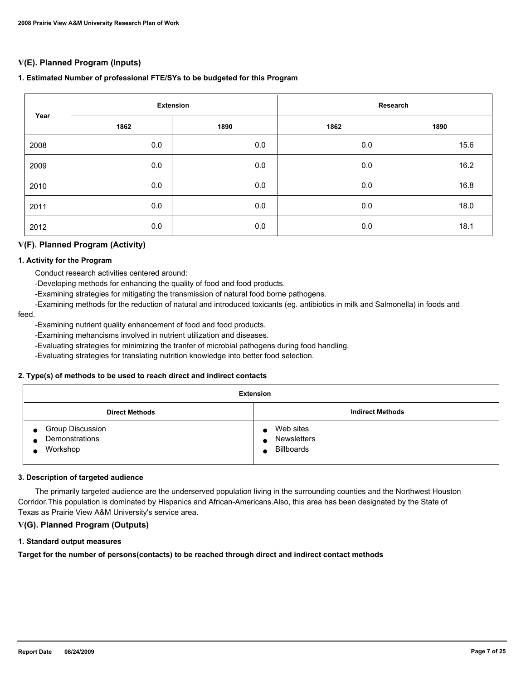# **V(E). Planned Program (Inputs)**

## **1. Estimated Number of professional FTE/SYs to be budgeted for this Program**

|      | <b>Extension</b> |      | Research |      |
|------|------------------|------|----------|------|
| Year | 1862             | 1890 | 1862     | 1890 |
| 2008 | 0.0              | 0.0  | 0.0      | 15.6 |
| 2009 | 0.0              | 0.0  | $0.0\,$  | 16.2 |
| 2010 | 0.0              | 0.0  | 0.0      | 16.8 |
| 2011 | 0.0              | 0.0  | 0.0      | 18.0 |
| 2012 | 0.0              | 0.0  | 0.0      | 18.1 |

## **V(F). Planned Program (Activity)**

#### **1. Activity for the Program**

Conduct research activities centered around:

-Developing methods for enhancing the quality of food and food products.

-Examining strategies for mitigating the transmission of natural food borne pathogens.

-Examining methods for the reduction of natural and introduced toxicants (eg. antibiotics in milk and Salmonella) in foods and

#### feed.

-Examining nutrient quality enhancement of food and food products.

-Examining mehancisms involved in nutrient utilization and diseases.

-Evaluating strategies for minimizing the tranfer of microbial pathogens during food handling.

-Evaluating strategies for translating nutrition knowledge into better food selection.

#### **2. Type(s) of methods to be used to reach direct and indirect contacts**

| <b>Extension</b>                                                                |                                        |  |  |
|---------------------------------------------------------------------------------|----------------------------------------|--|--|
| <b>Direct Methods</b>                                                           | <b>Indirect Methods</b>                |  |  |
| <b>Group Discussion</b><br>$\bullet$<br>Demonstrations<br>Workshop<br>$\bullet$ | Web sites<br>Newsletters<br>Billboards |  |  |

## **3. Description of targeted audience**

 The primarily targeted audience are the underserved population living in the surrounding counties and the Northwest Houston Corridor.This population is dominated by Hispanics and African-Americans.Also, this area has been designated by the State of Texas as Prairie View A&M University's service area.

## **V(G). Planned Program (Outputs)**

#### **1. Standard output measures**

**Target for the number of persons(contacts) to be reached through direct and indirect contact methods**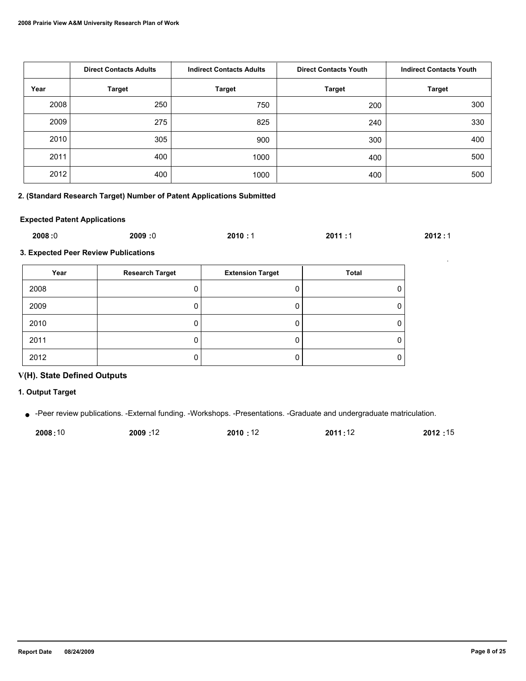|      | <b>Direct Contacts Adults</b> | <b>Indirect Contacts Adults</b> | <b>Direct Contacts Youth</b> | <b>Indirect Contacts Youth</b> |
|------|-------------------------------|---------------------------------|------------------------------|--------------------------------|
| Year | <b>Target</b>                 | <b>Target</b>                   | <b>Target</b>                | <b>Target</b>                  |
| 2008 | 250                           | 750                             | 200                          | 300                            |
| 2009 | 275                           | 825                             | 240                          | 330                            |
| 2010 | 305                           | 900                             | 300                          | 400                            |
| 2011 | 400                           | 1000                            | 400                          | 500                            |
| 2012 | 400                           | 1000                            | 400                          | 500                            |

## **2. (Standard Research Target) Number of Patent Applications Submitted**

## **Expected Patent Applications**

| 2008:0 | 2009<br>:0 | 2010:1 | 2011 | 2012:1 |
|--------|------------|--------|------|--------|
|        |            |        |      |        |

**3. Expected Peer Review Publications**

| Year | <b>Research Target</b> | <b>Extension Target</b> | <b>Total</b> |
|------|------------------------|-------------------------|--------------|
| 2008 |                        |                         |              |
| 2009 |                        |                         |              |
| 2010 |                        |                         |              |
| 2011 |                        |                         |              |
| 2012 |                        |                         |              |

# **V(H). State Defined Outputs**

**1. Output Target**

● -Peer review publications. -External funding. -Workshops. -Presentations. -Graduate and undergraduate matriculation.

| 2008:10 | 12: 2009 | 2010 : 12 | 2011:12 | 2012:15 |
|---------|----------|-----------|---------|---------|
|         |          |           |         |         |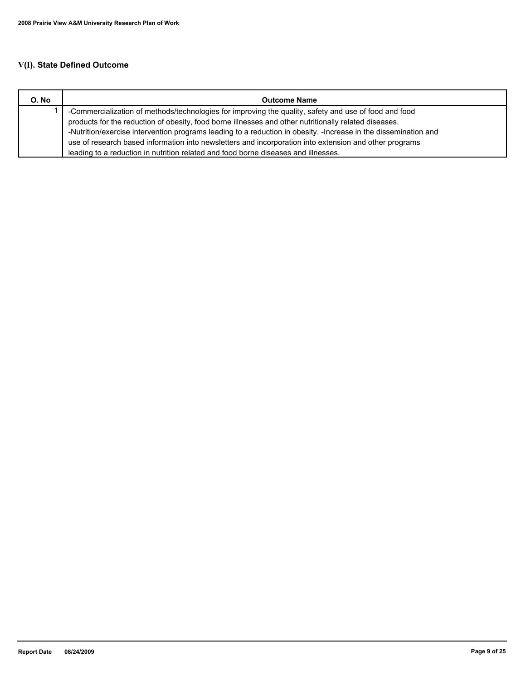# **V(I). State Defined Outcome**

| O. No | <b>Outcome Name</b>                                                                                             |
|-------|-----------------------------------------------------------------------------------------------------------------|
|       | -Commercialization of methods/technologies for improving the quality, safety and use of food and food           |
|       | products for the reduction of obesity, food borne illnesses and other nutritionally related diseases.           |
|       | -Nutrition/exercise intervention programs leading to a reduction in obesity. -Increase in the dissemination and |
|       | use of research based information into newsletters and incorporation into extension and other programs          |
|       | leading to a reduction in nutrition related and food borne diseases and illnesses.                              |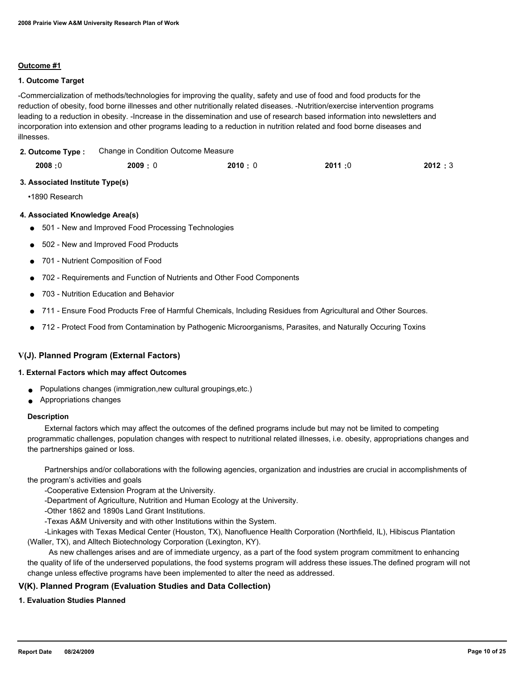## **Outcome #1**

## **1. Outcome Target**

-Commercialization of methods/technologies for improving the quality, safety and use of food and food products for the reduction of obesity, food borne illnesses and other nutritionally related diseases. -Nutrition/exercise intervention programs leading to a reduction in obesity. -Increase in the dissemination and use of research based information into newsletters and incorporation into extension and other programs leading to a reduction in nutrition related and food borne diseases and illnesses.

| 2. Outcome Type: | Change in Condition Outcome Measure |
|------------------|-------------------------------------|
|                  |                                     |

| 2011:0<br>2009:0<br>2008:0<br>2010:0 | 2012:3 |
|--------------------------------------|--------|
|--------------------------------------|--------|

## **3. Associated Institute Type(s)**

•1890 Research

## **4. Associated Knowledge Area(s)**

- 501 New and Improved Food Processing Technologies
- 502 New and Improved Food Products
- 701 Nutrient Composition of Food
- 702 Requirements and Function of Nutrients and Other Food Components
- 703 Nutrition Education and Behavior
- 711 Ensure Food Products Free of Harmful Chemicals, Including Residues from Agricultural and Other Sources.
- 712 Protect Food from Contamination by Pathogenic Microorganisms, Parasites, and Naturally Occuring Toxins

## **V(J). Planned Program (External Factors)**

#### **1. External Factors which may affect Outcomes**

- Populations changes (immigration, new cultural groupings, etc.)
- Appropriations changes

#### **Description**

 External factors which may affect the outcomes of the defined programs include but may not be limited to competing programmatic challenges, population changes with respect to nutritional related illnesses, i.e. obesity, appropriations changes and the partnerships gained or loss.

 Partnerships and/or collaborations with the following agencies, organization and industries are crucial in accomplishments of the program's activities and goals

-Cooperative Extension Program at the University.

-Department of Agriculture, Nutrition and Human Ecology at the University.

-Other 1862 and 1890s Land Grant Institutions.

-Texas A&M University and with other Institutions within the System.

 -Linkages with Texas Medical Center (Houston, TX), Nanofluence Health Corporation (Northfield, IL), Hibiscus Plantation (Waller, TX), and Alltech Biotechnology Corporation (Lexington, KY).

 As new challenges arises and are of immediate urgency, as a part of the food system program commitment to enhancing the quality of life of the underserved populations, the food systems program will address these issues.The defined program will not change unless effective programs have been implemented to alter the need as addressed.

## **V(K). Planned Program (Evaluation Studies and Data Collection)**

## **1. Evaluation Studies Planned**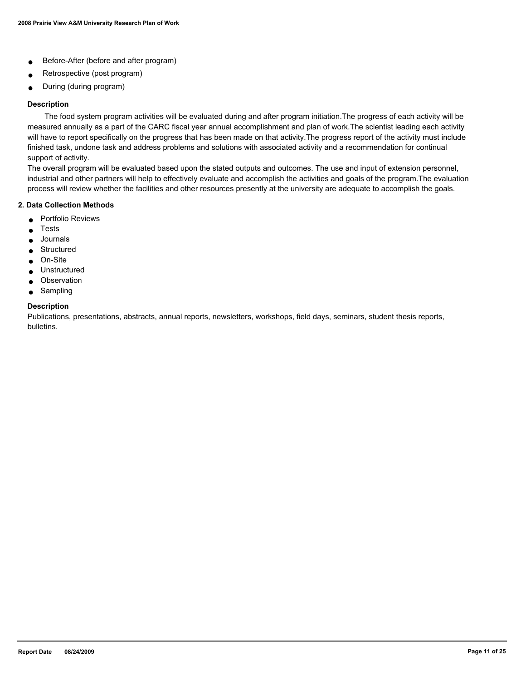- Before-After (before and after program)
- Retrospective (post program)
- During (during program)

## **Description**

 The food system program activities will be evaluated during and after program initiation.The progress of each activity will be measured annually as a part of the CARC fiscal year annual accomplishment and plan of work.The scientist leading each activity will have to report specifically on the progress that has been made on that activity.The progress report of the activity must include finished task, undone task and address problems and solutions with associated activity and a recommendation for continual support of activity.

The overall program will be evaluated based upon the stated outputs and outcomes. The use and input of extension personnel, industrial and other partners will help to effectively evaluate and accomplish the activities and goals of the program.The evaluation process will review whether the facilities and other resources presently at the university are adequate to accomplish the goals.

## **2. Data Collection Methods**

- Portfolio Reviews
- **Tests**
- Journals
- Structured
- On-Site
- Unstructured
- Observation
- Sampling

#### **Description**

Publications, presentations, abstracts, annual reports, newsletters, workshops, field days, seminars, student thesis reports, bulletins.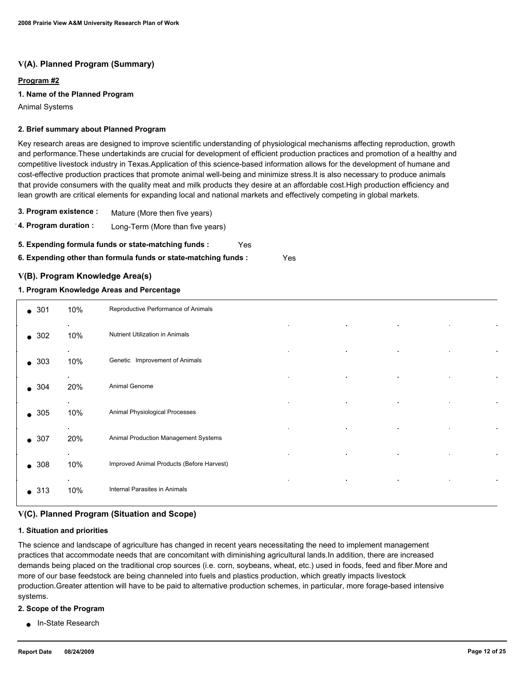# **V(A). Planned Program (Summary)**

## **Program #2**

## **1. Name of the Planned Program**

Animal Systems

#### **2. Brief summary about Planned Program**

Key research areas are designed to improve scientific understanding of physiological mechanisms affecting reproduction, growth and performance.These undertakinds are crucial for development of efficient production practices and promotion of a healthy and competitive livestock industry in Texas.Application of this science-based information allows for the development of humane and cost-effective production practices that promote animal well-being and minimize stress.It is also necessary to produce animals that provide consumers with the quality meat and milk products they desire at an affordable cost.High production efficiency and lean growth are critical elements for expanding local and national markets and effectively competing in global markets.

- **3. Program existence :** Mature (More then five years)
- **4. Program duration :** Long-Term (More than five years)

**5. Expending formula funds or state-matching funds :** Yes

**6. Expending other than formula funds or state-matching funds :** Yes

## **V(B). Program Knowledge Area(s)**

#### **1. Program Knowledge Areas and Percentage**

| $\bullet$ 301 | 10%              | Reproductive Performance of Animals       |  |
|---------------|------------------|-------------------------------------------|--|
| $\bullet$ 302 | 10%              | Nutrient Utilization in Animals           |  |
| $\bullet$ 303 | 10%              | Genetic Improvement of Animals            |  |
| $\bullet$ 304 | $\bullet$<br>20% | $\bullet$<br>Animal Genome                |  |
| $\bullet$ 305 | $\bullet$<br>10% | Animal Physiological Processes            |  |
| $\bullet$ 307 | 20%              | Animal Production Management Systems      |  |
| $\bullet$ 308 | $\sim$<br>10%    | Improved Animal Products (Before Harvest) |  |
| $\bullet$ 313 | 10%              | Internal Parasites in Animals             |  |

## **V(C). Planned Program (Situation and Scope)**

#### **1. Situation and priorities**

The science and landscape of agriculture has changed in recent years necessitating the need to implement management practices that accommodate needs that are concomitant with diminishing agricultural lands.In addition, there are increased demands being placed on the traditional crop sources (i.e. corn, soybeans, wheat, etc.) used in foods, feed and fiber.More and more of our base feedstock are being channeled into fuels and plastics production, which greatly impacts livestock production.Greater attention will have to be paid to alternative production schemes, in particular, more forage-based intensive systems.

#### **2. Scope of the Program**

● In-State Research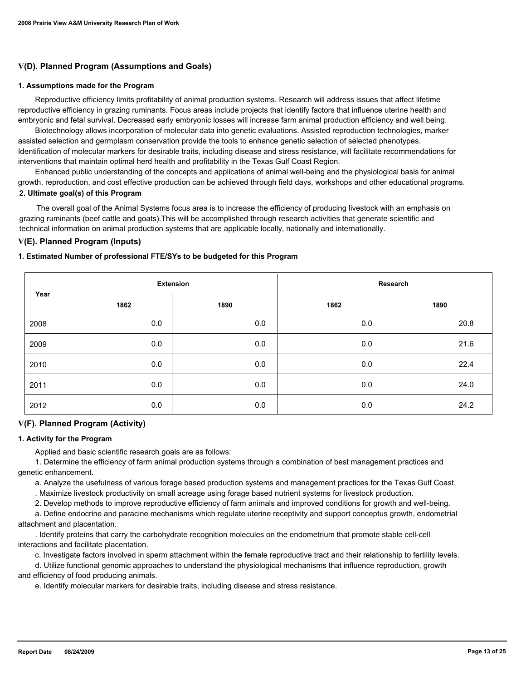## **V(D). Planned Program (Assumptions and Goals)**

#### **1. Assumptions made for the Program**

 Reproductive efficiency limits profitability of animal production systems. Research will address issues that affect lifetime reproductive efficiency in grazing ruminants. Focus areas include projects that identify factors that influence uterine health and embryonic and fetal survival. Decreased early embryonic losses will increase farm animal production efficiency and well being.

 Biotechnology allows incorporation of molecular data into genetic evaluations. Assisted reproduction technologies, marker assisted selection and germplasm conservation provide the tools to enhance genetic selection of selected phenotypes. Identification of molecular markers for desirable traits, including disease and stress resistance, will facilitate recommendations for interventions that maintain optimal herd health and profitability in the Texas Gulf Coast Region.

 Enhanced public understanding of the concepts and applications of animal well-being and the physiological basis for animal growth, reproduction, and cost effective production can be achieved through field days, workshops and other educational programs. **2. Ultimate goal(s) of this Program**

 The overall goal of the Animal Systems focus area is to increase the efficiency of producing livestock with an emphasis on grazing ruminants (beef cattle and goats).This will be accomplished through research activities that generate scientific and technical information on animal production systems that are applicable locally, nationally and internationally.

## **V(E). Planned Program (Inputs)**

#### **1. Estimated Number of professional FTE/SYs to be budgeted for this Program**

| Year | <b>Extension</b> |      | Research |      |
|------|------------------|------|----------|------|
|      | 1862             | 1890 | 1862     | 1890 |
| 2008 | 0.0              | 0.0  | $0.0\,$  | 20.8 |
| 2009 | 0.0              | 0.0  | 0.0      | 21.6 |
| 2010 | 0.0              | 0.0  | 0.0      | 22.4 |
| 2011 | 0.0              | 0.0  | 0.0      | 24.0 |
| 2012 | 0.0              | 0.0  | 0.0      | 24.2 |

#### **V(F). Planned Program (Activity)**

#### **1. Activity for the Program**

Applied and basic scientific research goals are as follows:

 1. Determine the efficiency of farm animal production systems through a combination of best management practices and genetic enhancement.

a. Analyze the usefulness of various forage based production systems and management practices for the Texas Gulf Coast.

. Maximize livestock productivity on small acreage using forage based nutrient systems for livestock production.

2. Develop methods to improve reproductive efficiency of farm animals and improved conditions for growth and well-being.

 a. Define endocrine and paracine mechanisms which regulate uterine receptivity and support conceptus growth, endometrial attachment and placentation.

 . Identify proteins that carry the carbohydrate recognition molecules on the endometrium that promote stable cell-cell interactions and facilitate placentation.

c. Investigate factors involved in sperm attachment within the female reproductive tract and their relationship to fertility levels.

 d. Utilize functional genomic approaches to understand the physiological mechanisms that influence reproduction, growth and efficiency of food producing animals.

e. Identify molecular markers for desirable traits, including disease and stress resistance.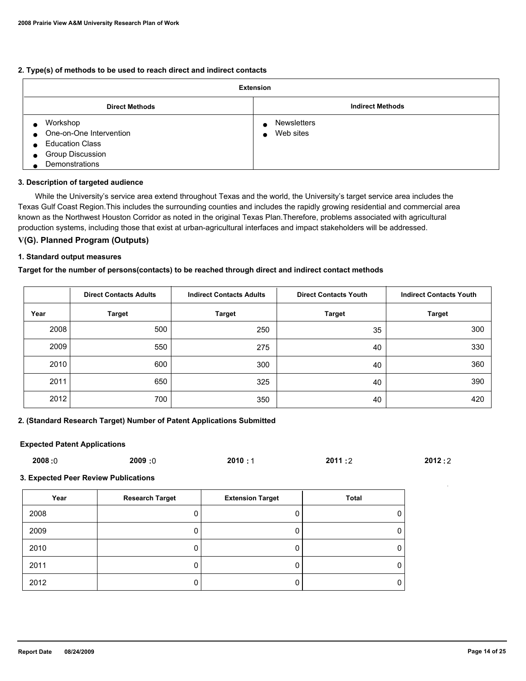#### **2. Type(s) of methods to be used to reach direct and indirect contacts**

| <b>Extension</b>                                                                                                 |                                                           |  |
|------------------------------------------------------------------------------------------------------------------|-----------------------------------------------------------|--|
| <b>Direct Methods</b>                                                                                            | <b>Indirect Methods</b>                                   |  |
| Workshop<br>One-on-One Intervention<br>$\bullet$<br><b>Education Class</b><br>Group Discussion<br>Demonstrations | <b>Newsletters</b><br>$\bullet$<br>Web sites<br>$\bullet$ |  |

#### **3. Description of targeted audience**

 While the University's service area extend throughout Texas and the world, the University's target service area includes the Texas Gulf Coast Region.This includes the surrounding counties and includes the rapidly growing residential and commercial area known as the Northwest Houston Corridor as noted in the original Texas Plan.Therefore, problems associated with agricultural production systems, including those that exist at urban-agricultural interfaces and impact stakeholders will be addressed.

## **V(G). Planned Program (Outputs)**

#### **1. Standard output measures**

#### **Target for the number of persons(contacts) to be reached through direct and indirect contact methods**

|      | <b>Direct Contacts Adults</b> | <b>Indirect Contacts Adults</b> | <b>Direct Contacts Youth</b> | <b>Indirect Contacts Youth</b> |
|------|-------------------------------|---------------------------------|------------------------------|--------------------------------|
| Year | <b>Target</b>                 | <b>Target</b>                   | <b>Target</b>                | <b>Target</b>                  |
| 2008 | 500                           | 250                             | 35                           | 300                            |
| 2009 | 550                           | 275                             | 40                           | 330                            |
| 2010 | 600                           | 300                             | 40                           | 360                            |
| 2011 | 650                           | 325                             | 40                           | 390                            |
| 2012 | 700                           | 350                             | 40                           | 420                            |

## **2. (Standard Research Target) Number of Patent Applications Submitted**

## **Expected Patent Applications**

| 2008:0<br>0: 2009<br>2010:1<br>2011:2 | 2012:2 |
|---------------------------------------|--------|
|---------------------------------------|--------|

**3. Expected Peer Review Publications**

| Year | <b>Research Target</b> | <b>Extension Target</b> | <b>Total</b> |
|------|------------------------|-------------------------|--------------|
| 2008 |                        |                         |              |
| 2009 |                        |                         |              |
| 2010 |                        |                         |              |
| 2011 |                        |                         |              |
| 2012 |                        |                         |              |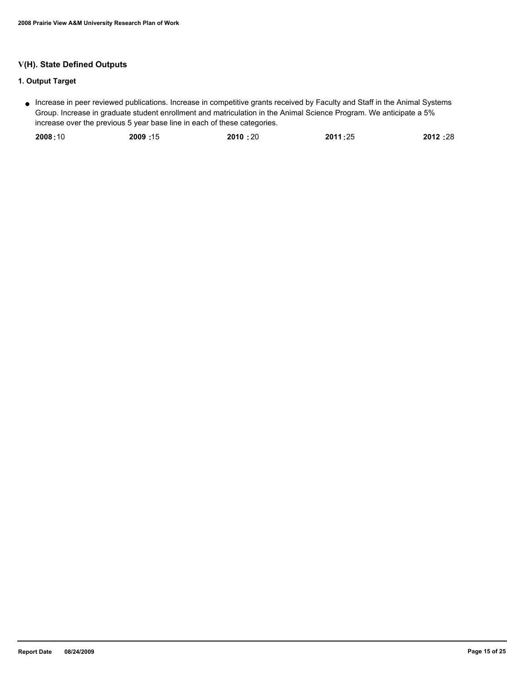# **V(H). State Defined Outputs**

# **1. Output Target**

Increase in peer reviewed publications. Increase in competitive grants received by Faculty and Staff in the Animal Systems ● Group. Increase in graduate student enrollment and matriculation in the Animal Science Program. We anticipate a 5% increase over the previous 5 year base line in each of these categories.

| 2008:10 | 15: 2009 | 2010:20 | 2011:25 | 2012:28 |
|---------|----------|---------|---------|---------|
|         |          |         |         |         |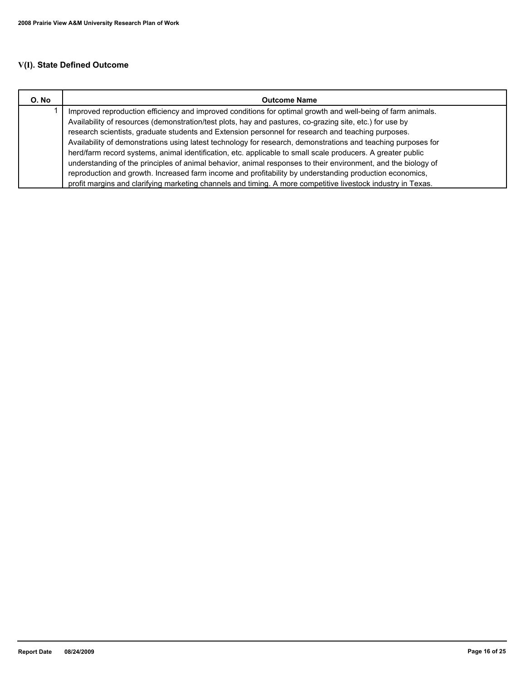# **V(I). State Defined Outcome**

| O. No | <b>Outcome Name</b>                                                                                                                                                                                                                                                                                                                                                                                                                                                                                                                                           |
|-------|---------------------------------------------------------------------------------------------------------------------------------------------------------------------------------------------------------------------------------------------------------------------------------------------------------------------------------------------------------------------------------------------------------------------------------------------------------------------------------------------------------------------------------------------------------------|
|       | Improved reproduction efficiency and improved conditions for optimal growth and well-being of farm animals.<br>Availability of resources (demonstration/test plots, hay and pastures, co-grazing site, etc.) for use by<br>research scientists, graduate students and Extension personnel for research and teaching purposes.<br>Availability of demonstrations using latest technology for research, demonstrations and teaching purposes for<br>herd/farm record systems, animal identification, etc. applicable to small scale producers. A greater public |
|       | understanding of the principles of animal behavior, animal responses to their environment, and the biology of<br>reproduction and growth. Increased farm income and profitability by understanding production economics,                                                                                                                                                                                                                                                                                                                                      |
|       | profit margins and clarifying marketing channels and timing. A more competitive livestock industry in Texas.                                                                                                                                                                                                                                                                                                                                                                                                                                                  |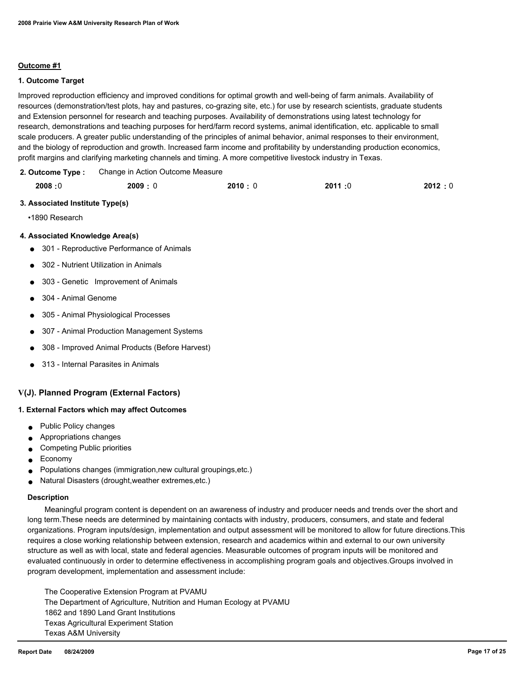## **Outcome #1**

#### **1. Outcome Target**

Improved reproduction efficiency and improved conditions for optimal growth and well-being of farm animals. Availability of resources (demonstration/test plots, hay and pastures, co-grazing site, etc.) for use by research scientists, graduate students and Extension personnel for research and teaching purposes. Availability of demonstrations using latest technology for research, demonstrations and teaching purposes for herd/farm record systems, animal identification, etc. applicable to small scale producers. A greater public understanding of the principles of animal behavior, animal responses to their environment, and the biology of reproduction and growth. Increased farm income and profitability by understanding production economics, profit margins and clarifying marketing channels and timing. A more competitive livestock industry in Texas.

Change in Action Outcome Measure **2. Outcome Type :**

| 2008:0 | 2009:0 | 2010:0 | 2011:0 | 2012:0 |
|--------|--------|--------|--------|--------|
|        |        |        |        |        |

#### **3. Associated Institute Type(s)**

•1890 Research

#### **4. Associated Knowledge Area(s)**

- 301 Reproductive Performance of Animals
- 302 Nutrient Utilization in Animals
- 303 Genetic Improvement of Animals
- 304 Animal Genome
- 305 Animal Physiological Processes
- 307 Animal Production Management Systems
- 308 Improved Animal Products (Before Harvest)
- 313 Internal Parasites in Animals

## **V(J). Planned Program (External Factors)**

#### **1. External Factors which may affect Outcomes**

- Public Policy changes
- Appropriations changes
- Competing Public priorities
- **Economy**
- Populations changes (immigration,new cultural groupings,etc.)
- Natural Disasters (drought,weather extremes,etc.)

#### **Description**

 Meaningful program content is dependent on an awareness of industry and producer needs and trends over the short and long term.These needs are determined by maintaining contacts with industry, producers, consumers, and state and federal organizations. Program inputs/design, implementation and output assessment will be monitored to allow for future directions.This requires a close working relationship between extension, research and academics within and external to our own university structure as well as with local, state and federal agencies. Measurable outcomes of program inputs will be monitored and evaluated continuously in order to determine effectiveness in accomplishing program goals and objectives.Groups involved in program development, implementation and assessment include:

 The Cooperative Extension Program at PVAMU The Department of Agriculture, Nutrition and Human Ecology at PVAMU 1862 and 1890 Land Grant Institutions Texas Agricultural Experiment Station Texas A&M University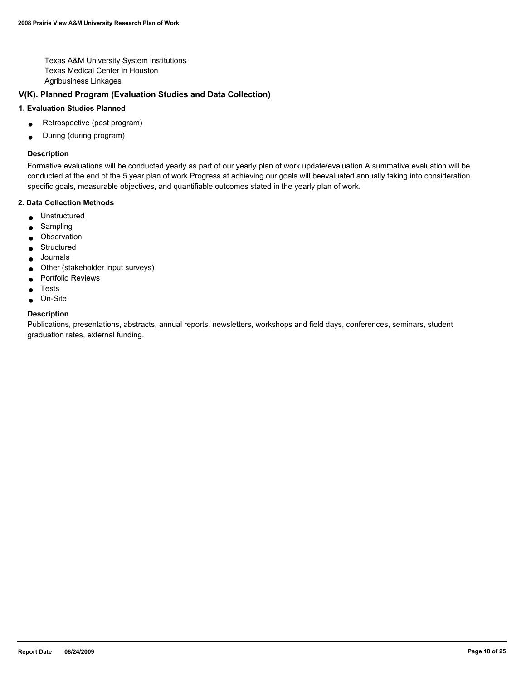Texas A&M University System institutions Texas Medical Center in Houston Agribusiness Linkages

# **V(K). Planned Program (Evaluation Studies and Data Collection)**

## **1. Evaluation Studies Planned**

- Retrospective (post program)
- During (during program)

#### **Description**

Formative evaluations will be conducted yearly as part of our yearly plan of work update/evaluation.A summative evaluation will be conducted at the end of the 5 year plan of work.Progress at achieving our goals will beevaluated annually taking into consideration specific goals, measurable objectives, and quantifiable outcomes stated in the yearly plan of work.

## **2. Data Collection Methods**

- Unstructured
- **Sampling**
- Observation
- Structured
- Journals
- Other (stakeholder input surveys)
- Portfolio Reviews
- **Tests**
- On-Site

#### **Description**

Publications, presentations, abstracts, annual reports, newsletters, workshops and field days, conferences, seminars, student graduation rates, external funding.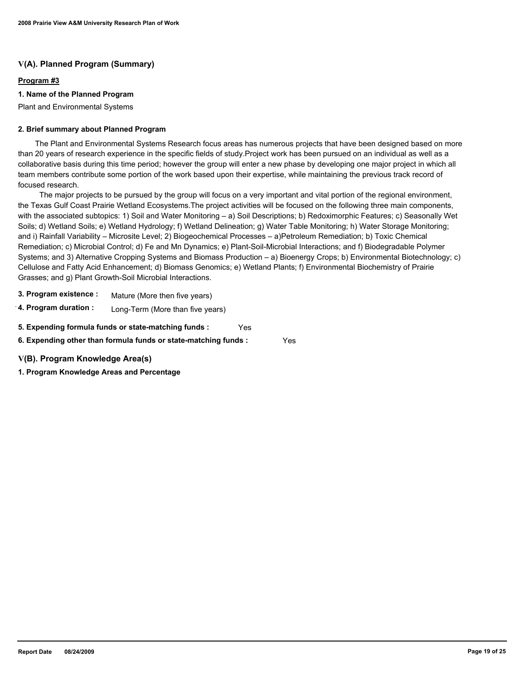# **V(A). Planned Program (Summary)**

## **Program #3**

## **1. Name of the Planned Program**

Plant and Environmental Systems

## **2. Brief summary about Planned Program**

 The Plant and Environmental Systems Research focus areas has numerous projects that have been designed based on more than 20 years of research experience in the specific fields of study.Project work has been pursued on an individual as well as a collaborative basis during this time period; however the group will enter a new phase by developing one major project in which all team members contribute some portion of the work based upon their expertise, while maintaining the previous track record of focused research.

 The major projects to be pursued by the group will focus on a very important and vital portion of the regional environment, the Texas Gulf Coast Prairie Wetland Ecosystems.The project activities will be focused on the following three main components, with the associated subtopics: 1) Soil and Water Monitoring – a) Soil Descriptions; b) Redoximorphic Features; c) Seasonally Wet Soils; d) Wetland Soils; e) Wetland Hydrology; f) Wetland Delineation; g) Water Table Monitoring; h) Water Storage Monitoring; and i) Rainfall Variability – Microsite Level; 2) Biogeochemical Processes – a)Petroleum Remediation; b) Toxic Chemical Remediation; c) Microbial Control; d) Fe and Mn Dynamics; e) Plant-Soil-Microbial Interactions; and f) Biodegradable Polymer Systems; and 3) Alternative Cropping Systems and Biomass Production – a) Bioenergy Crops; b) Environmental Biotechnology; c) Cellulose and Fatty Acid Enhancement; d) Biomass Genomics; e) Wetland Plants; f) Environmental Biochemistry of Prairie Grasses; and g) Plant Growth-Soil Microbial Interactions.

- **3. Program existence :** Mature (More then five years)
- **4. Program duration :** Long-Term (More than five years)

**5. Expending formula funds or state-matching funds :** Yes

**6. Expending other than formula funds or state-matching funds :** Yes

**V(B). Program Knowledge Area(s)**

**1. Program Knowledge Areas and Percentage**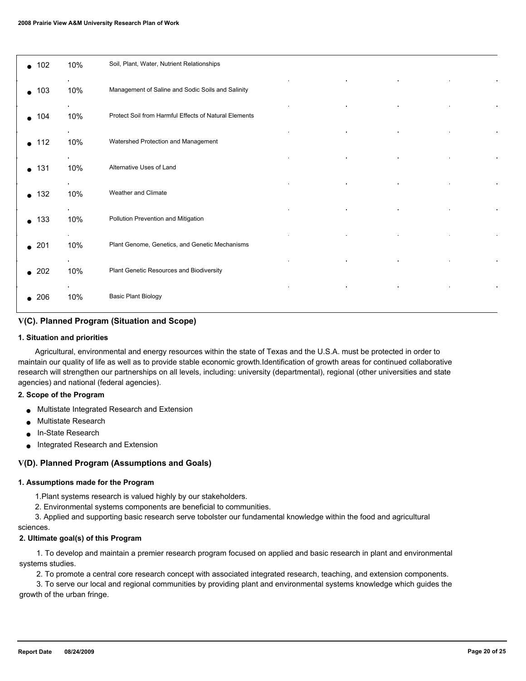| $\bullet$ 102 | 10% | Soil, Plant, Water, Nutrient Relationships            |
|---------------|-----|-------------------------------------------------------|
| $\bullet$ 103 | 10% | Management of Saline and Sodic Soils and Salinity     |
| $\bullet$ 104 | 10% | Protect Soil from Harmful Effects of Natural Elements |
| 112           | 10% | Watershed Protection and Management                   |
| $\bullet$ 131 | 10% | Alternative Uses of Land                              |
| $\bullet$ 132 | 10% | Weather and Climate                                   |
| $\bullet$ 133 | 10% | Pollution Prevention and Mitigation                   |
| $\bullet$ 201 | 10% | Plant Genome, Genetics, and Genetic Mechanisms        |
| $\bullet$ 202 | 10% | Plant Genetic Resources and Biodiversity              |
| 206           | 10% | <b>Basic Plant Biology</b>                            |

## **V(C). Planned Program (Situation and Scope)**

#### **1. Situation and priorities**

 Agricultural, environmental and energy resources within the state of Texas and the U.S.A. must be protected in order to maintain our quality of life as well as to provide stable economic growth.Identification of growth areas for continued collaborative research will strengthen our partnerships on all levels, including: university (departmental), regional (other universities and state agencies) and national (federal agencies).

#### **2. Scope of the Program**

- Multistate Integrated Research and Extension
- **Multistate Research**
- In-State Research
- Integrated Research and Extension

## **V(D). Planned Program (Assumptions and Goals)**

#### **1. Assumptions made for the Program**

- 1.Plant systems research is valued highly by our stakeholders.
- 2. Environmental systems components are beneficial to communities.

 3. Applied and supporting basic research serve tobolster our fundamental knowledge within the food and agricultural sciences.

## **2. Ultimate goal(s) of this Program**

 1. To develop and maintain a premier research program focused on applied and basic research in plant and environmental systems studies.

2. To promote a central core research concept with associated integrated research, teaching, and extension components.

 3. To serve our local and regional communities by providing plant and environmental systems knowledge which guides the growth of the urban fringe.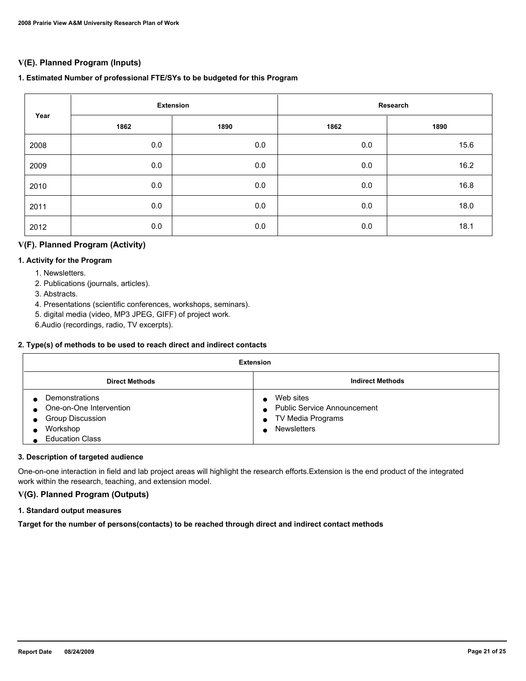# **V(E). Planned Program (Inputs)**

## **1. Estimated Number of professional FTE/SYs to be budgeted for this Program**

| Year | <b>Extension</b> |      | Research |      |
|------|------------------|------|----------|------|
|      | 1862             | 1890 | 1862     | 1890 |
| 2008 | 0.0              | 0.0  | $0.0\,$  | 15.6 |
| 2009 | 0.0              | 0.0  | $0.0\,$  | 16.2 |
| 2010 | 0.0              | 0.0  | 0.0      | 16.8 |
| 2011 | 0.0              | 0.0  | 0.0      | 18.0 |
| 2012 | 0.0              | 0.0  | 0.0      | 18.1 |

# **V(F). Planned Program (Activity)**

## **1. Activity for the Program**

- 1. Newsletters.
- 2. Publications (journals, articles).
- 3. Abstracts.
- 4. Presentations (scientific conferences, workshops, seminars).
- 5. digital media (video, MP3 JPEG, GIFF) of project work.
- 6.Audio (recordings, radio, TV excerpts).

## **2. Type(s) of methods to be used to reach direct and indirect contacts**

| <b>Extension</b>                                                                                           |                                                                                            |  |
|------------------------------------------------------------------------------------------------------------|--------------------------------------------------------------------------------------------|--|
| <b>Direct Methods</b>                                                                                      | <b>Indirect Methods</b>                                                                    |  |
| Demonstrations<br>One-on-One Intervention<br><b>Group Discussion</b><br>Workshop<br><b>Education Class</b> | Web sites<br><b>Public Service Announcement</b><br>TV Media Programs<br><b>Newsletters</b> |  |

#### **3. Description of targeted audience**

One-on-one interaction in field and lab project areas will highlight the research efforts.Extension is the end product of the integrated work within the research, teaching, and extension model.

# **V(G). Planned Program (Outputs)**

## **1. Standard output measures**

**Target for the number of persons(contacts) to be reached through direct and indirect contact methods**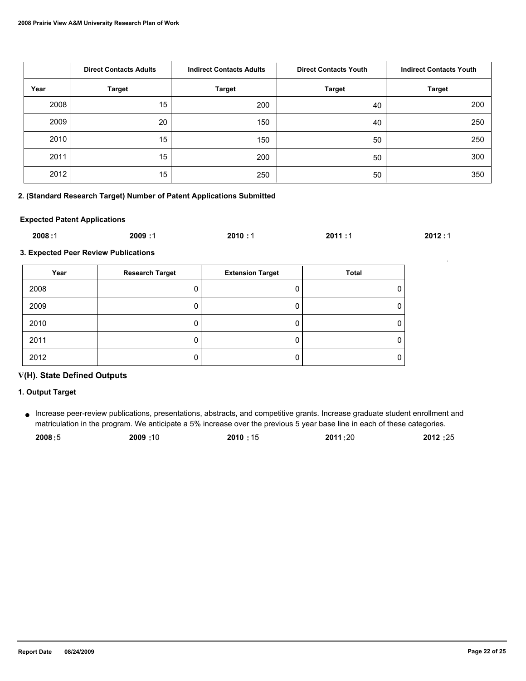|      | <b>Direct Contacts Adults</b><br><b>Indirect Contacts Adults</b> |               | <b>Direct Contacts Youth</b> | <b>Indirect Contacts Youth</b> |
|------|------------------------------------------------------------------|---------------|------------------------------|--------------------------------|
| Year | <b>Target</b>                                                    | <b>Target</b> | <b>Target</b>                | <b>Target</b>                  |
| 2008 | 15                                                               | 200           | 40                           | 200                            |
| 2009 | 20                                                               | 150           | 40                           | 250                            |
| 2010 | 15                                                               | 150           | 50                           | 250                            |
| 2011 | 15                                                               | 200           | 50                           | 300                            |
| 2012 | 15                                                               | 250           | 50                           | 350                            |

## **2. (Standard Research Target) Number of Patent Applications Submitted**

#### **Expected Patent Applications**

| 2008:1 | 2009:1 | 2010:1 | 2011:1 | 2012:1 |
|--------|--------|--------|--------|--------|
|        |        |        |        |        |

**3. Expected Peer Review Publications**

| Year | <b>Research Target</b> | <b>Extension Target</b> | <b>Total</b> |
|------|------------------------|-------------------------|--------------|
| 2008 |                        |                         |              |
| 2009 |                        |                         |              |
| 2010 |                        |                         |              |
| 2011 |                        |                         |              |
| 2012 |                        |                         |              |

## **V(H). State Defined Outputs**

## **1. Output Target**

Increase peer-review publications, presentations, abstracts, and competitive grants. Increase graduate student enrollment and ● matriculation in the program. We anticipate a 5% increase over the previous 5 year base line in each of these categories.

| 2008:5 | 10: 2009 | 2010:15 | 2011:20 | 2012:25 |
|--------|----------|---------|---------|---------|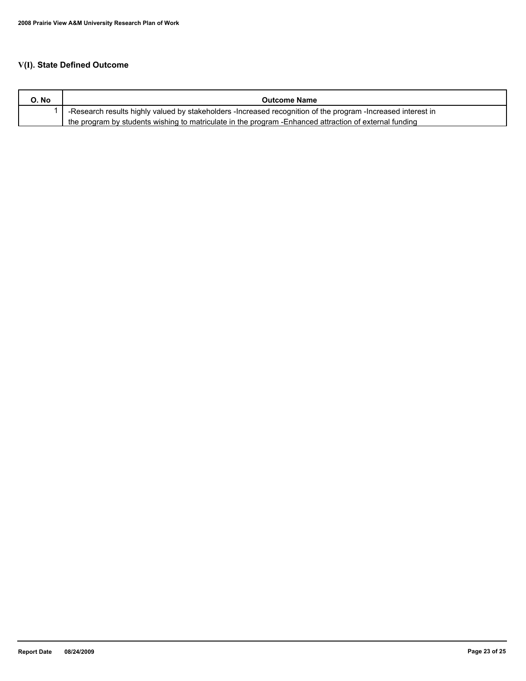# **V(I). State Defined Outcome**

| O. No | <b>Outcome Name</b>                                                                                          |
|-------|--------------------------------------------------------------------------------------------------------------|
|       | -Research results highly valued by stakeholders -Increased recognition of the program -Increased interest in |
|       | the program by students wishing to matriculate in the program - Enhanced attraction of external funding      |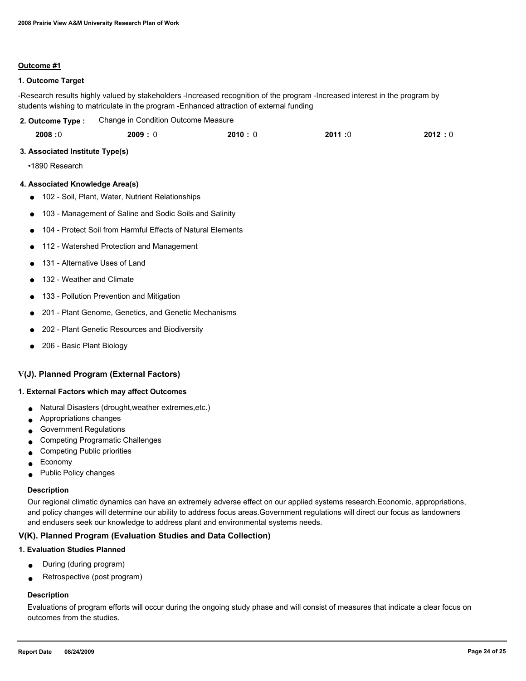#### **Outcome #1**

#### **1. Outcome Target**

-Research results highly valued by stakeholders -Increased recognition of the program -Increased interest in the program by students wishing to matriculate in the program -Enhanced attraction of external funding

| 2. Outcome Type : | Change in Condition Outcome Measure |
|-------------------|-------------------------------------|
|-------------------|-------------------------------------|

| 2008:0<br>2011:0<br>2010:0<br>2009:0 | 2012:0 |
|--------------------------------------|--------|
|--------------------------------------|--------|

#### **3. Associated Institute Type(s)**

•1890 Research

#### **4. Associated Knowledge Area(s)**

- 102 Soil, Plant, Water, Nutrient Relationships
- 103 Management of Saline and Sodic Soils and Salinity
- 104 Protect Soil from Harmful Effects of Natural Elements
- 112 Watershed Protection and Management
- 131 Alternative Uses of Land
- 132 Weather and Climate
- 133 Pollution Prevention and Mitigation
- 201 Plant Genome, Genetics, and Genetic Mechanisms
- 202 Plant Genetic Resources and Biodiversity
- 206 Basic Plant Biology

#### **V(J). Planned Program (External Factors)**

#### **1. External Factors which may affect Outcomes**

- Natural Disasters (drought,weather extremes,etc.)
- Appropriations changes
- Government Regulations
- Competing Programatic Challenges
- Competing Public priorities
- **Economy**
- Public Policy changes

#### **Description**

Our regional climatic dynamics can have an extremely adverse effect on our applied systems research.Economic, appropriations, and policy changes will determine our ability to address focus areas.Government regulations will direct our focus as landowners and endusers seek our knowledge to address plant and environmental systems needs.

#### **V(K). Planned Program (Evaluation Studies and Data Collection)**

#### **1. Evaluation Studies Planned**

- During (during program)
- Retrospective (post program)

# **Description**

Evaluations of program efforts will occur during the ongoing study phase and will consist of measures that indicate a clear focus on outcomes from the studies.